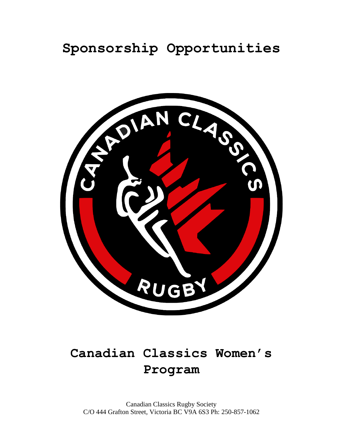## **Sponsorship Opportunities**



# **Canadian Classics Women's Program**

Canadian Classics Rugby Society C/O 444 Grafton Street, Victoria BC V9A 6S3 Ph: 250-857-1062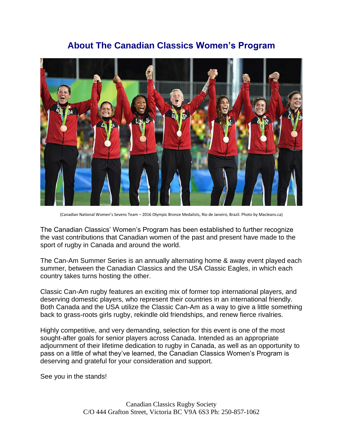### **About The Canadian Classics Women's Program**



(Canadian National Women's Sevens Team – 2016 Olympic Bronze Medalists, Rio de Janeiro, Brazil. Photo by Macleans.ca)

The Canadian Classics' Women's Program has been established to further recognize the vast contributions that Canadian women of the past and present have made to the sport of rugby in Canada and around the world.

The Can-Am Summer Series is an annually alternating home & away event played each summer, between the Canadian Classics and the USA Classic Eagles, in which each country takes turns hosting the other.

Classic Can-Am rugby features an exciting mix of former top international players, and deserving domestic players, who represent their countries in an international friendly. Both Canada and the USA utilize the Classic Can-Am as a way to give a little something back to grass-roots girls rugby, rekindle old friendships, and renew fierce rivalries.

Highly competitive, and very demanding, selection for this event is one of the most sought-after goals for senior players across Canada. Intended as an appropriate adjournment of their lifetime dedication to rugby in Canada, as well as an opportunity to pass on a little of what they've learned, the Canadian Classics Women's Program is deserving and grateful for your consideration and support.

See you in the stands!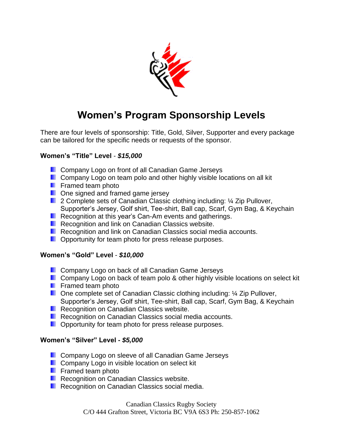

### **Women's Program Sponsorship Levels**

There are four levels of sponsorship: Title, Gold, Silver, Supporter and every package can be tailored for the specific needs or requests of the sponsor.

#### **Women's "Title" Level** - *\$15,000*

- **Company Logo on front of all Canadian Game Jerseys**
- **Company Logo on team polo and other highly visible locations on all kit**
- **Framed team photo**
- **D** One signed and framed game jersey
- 2 Complete sets of Canadian Classic clothing including: ¼ Zip Pullover, Supporter's Jersey, Golf shirt, Tee-shirt, Ball cap, Scarf, Gym Bag, & Keychain
- Recognition at this year's Can-Am events and gatherings.
- **Recognition and link on Canadian Classics website.**
- **Recognition and link on Canadian Classics social media accounts.**
- **D** Opportunity for team photo for press release purposes.

#### **Women's "Gold" Level** - *\$10,000*

- **Company Logo on back of all Canadian Game Jerseys**
- **Company Logo on back of team polo & other highly visible locations on select kit**
- **Framed team photo**
- One complete set of Canadian Classic clothing including: ¼ Zip Pullover, Supporter's Jersey, Golf shirt, Tee-shirt, Ball cap, Scarf, Gym Bag, & Keychain
- **Recognition on Canadian Classics website.**
- Recognition on Canadian Classics social media accounts.
- **D** Opportunity for team photo for press release purposes.

#### **Women's "Silver" Level -** *\$5,000*

- **Company Logo on sleeve of all Canadian Game Jerseys**
- **Company Logo in visible location on select kit**
- **F** Framed team photo
- **Recognition on Canadian Classics website.**
- **Recognition on Canadian Classics social media.**

Canadian Classics Rugby Society C/O 444 Grafton Street, Victoria BC V9A 6S3 Ph: 250-857-1062